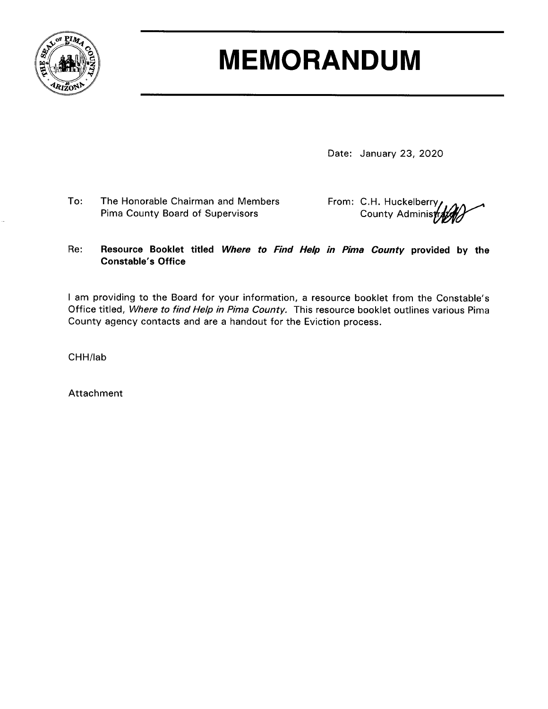

## **MEMORANDUM**

Date: January 23, 2020

To: The Honorable Chairman and Members Pima County Board of Supervisors

From: C.H. Huckelberry, County Administr

#### Re: Resource Booklet titled Where to Find Help in Pima County provided by the **Constable's Office**

I am providing to the Board for your information, a resource booklet from the Constable's Office titled, Where to find Help in Pima County. This resource booklet outlines various Pima County agency contacts and are a handout for the Eviction process.

CHH/lab

Attachment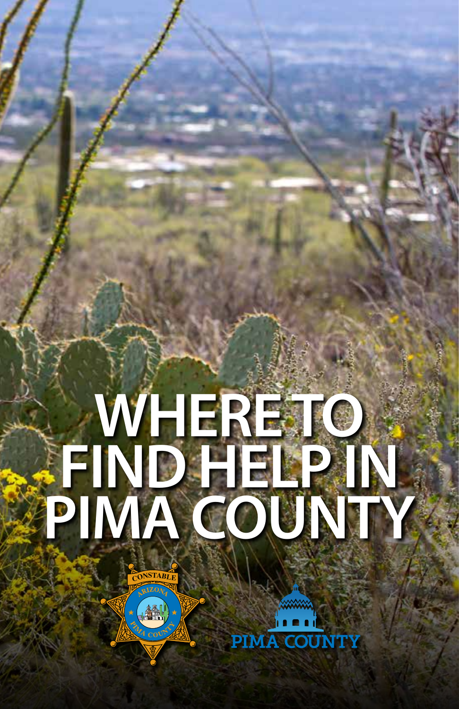# **WHERE TO FIND HELP IN PIMA COUNTY**

**A COUNTY** 

 $\overline{\text{C}}$ **ONSTABLE** 

 $\left( \frac{1}{2} \right)$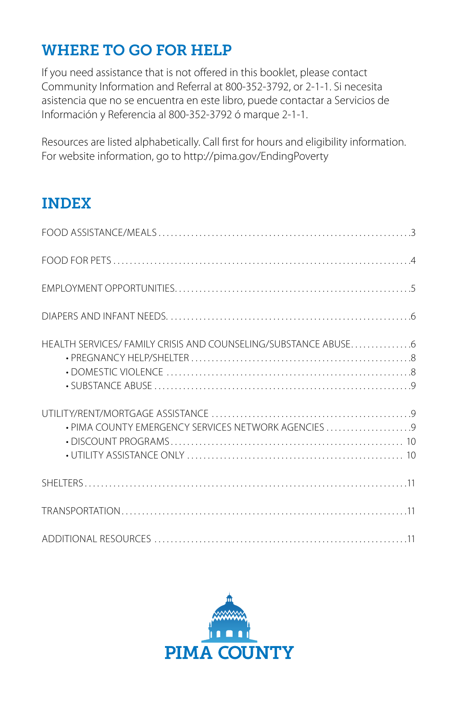## WHERE TO GO FOR HELP

If you need assistance that is not offered in this booklet, please contact Community Information and Referral at 800-352-3792, or 2-1-1. Si necesita asistencia que no se encuentra en este libro, puede contactar a Servicios de Información y Referencia al 800-352-3792 ó marque 2-1-1.

Resources are listed alphabetically. Call first for hours and eligibility information. For website information, go to http://pima.gov/EndingPoverty

## INDEX

| . PIMA COUNTY EMERGENCY SERVICES NETWORK AGENCIES |  |
|---------------------------------------------------|--|
|                                                   |  |
|                                                   |  |
|                                                   |  |

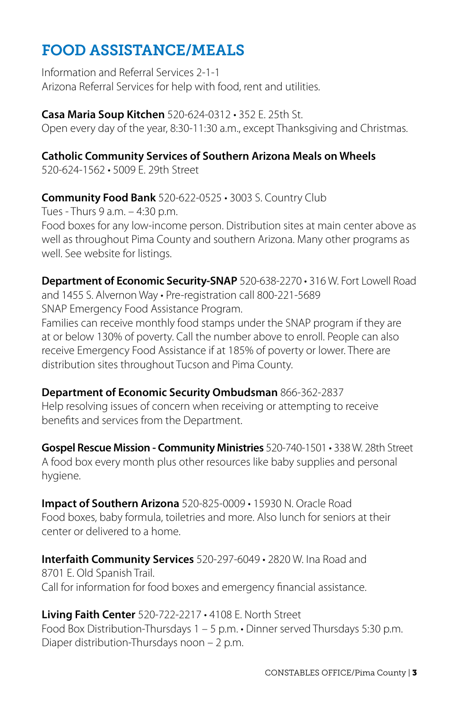## FOOD ASSISTANCE/MEALS

Information and Referral Services 2-1-1 Arizona Referral Services for help with food, rent and utilities.

**Casa Maria Soup Kitchen** 520-624-0312 • 352 E. 25th St. Open every day of the year, 8:30-11:30 a.m., except Thanksgiving and Christmas.

#### **Catholic Community Services of Southern Arizona Meals on Wheels**

520-624-1562 • 5009 E. 29th Street

#### **Community Food Bank** 520-622-0525 • 3003 S. Country Club

Tues - Thurs 9 a.m. – 4:30 p.m. Food boxes for any low-income person. Distribution sites at main center above as well as throughout Pima County and southern Arizona. Many other programs as well. See website for listings.

**Department of Economic Security-SNAP** 520-638-2270 • 316 W. Fort Lowell Road and 1455 S. Alvernon Way • Pre-registration call 800-221-5689 SNAP Emergency Food Assistance Program.

Families can receive monthly food stamps under the SNAP program if they are at or below 130% of poverty. Call the number above to enroll. People can also receive Emergency Food Assistance if at 185% of poverty or lower. There are distribution sites throughout Tucson and Pima County.

**Department of Economic Security Ombudsman** 866-362-2837 Help resolving issues of concern when receiving or attempting to receive benefits and services from the Department.

**Gospel Rescue Mission - Community Ministries** 520-740-1501 • 338 W. 28th Street A food box every month plus other resources like baby supplies and personal hygiene.

**Impact of Southern Arizona** 520-825-0009 • 15930 N. Oracle Road Food boxes, baby formula, toiletries and more. Also lunch for seniors at their center or delivered to a home.

**Interfaith Community Services** 520-297-6049 • 2820 W. Ina Road and 8701 E. Old Spanish Trail. Call for information for food boxes and emergency financial assistance.

**Living Faith Center** 520-722-2217 • 4108 E. North Street Food Box Distribution-Thursdays 1 – 5 p.m. • Dinner served Thursdays 5:30 p.m. Diaper distribution-Thursdays noon – 2 p.m.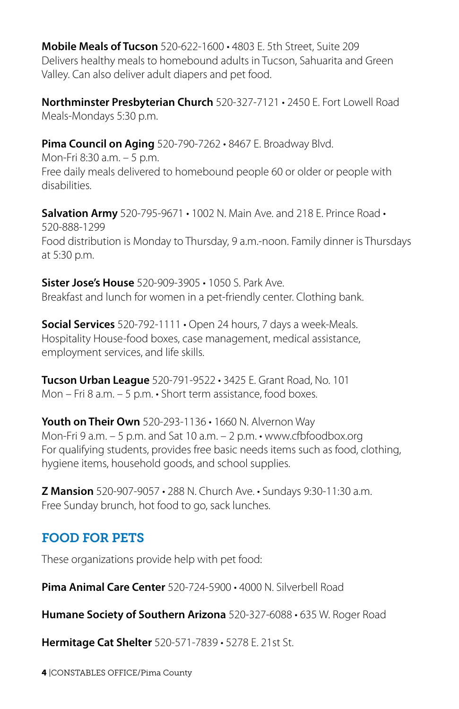**Mobile Meals of Tucson** 520-622-1600 • 4803 E. 5th Street, Suite 209 Delivers healthy meals to homebound adults in Tucson, Sahuarita and Green Valley. Can also deliver adult diapers and pet food.

**Northminster Presbyterian Church** 520-327-7121 • 2450 E. Fort Lowell Road Meals-Mondays 5:30 p.m.

**Pima Council on Aging** 520-790-7262 • 8467 E. Broadway Blvd.

Mon-Fri 8:30 a.m. – 5 p.m. Free daily meals delivered to homebound people 60 or older or people with disabilities.

**Salvation Army** 520-795-9671 • 1002 N. Main Ave. and 218 E. Prince Road • 520-888-1299 Food distribution is Monday to Thursday, 9 a.m.-noon. Family dinner is Thursdays at 5:30 p.m.

**Sister Jose's House** 520-909-3905 • 1050 S. Park Ave. Breakfast and lunch for women in a pet-friendly center. Clothing bank.

**Social Services** 520-792-1111 • Open 24 hours, 7 days a week-Meals. Hospitality House-food boxes, case management, medical assistance, employment services, and life skills.

**Tucson Urban League** 520-791-9522 • 3425 E. Grant Road, No. 101 Mon – Fri 8 a.m. – 5 p.m. • Short term assistance, food boxes.

**Youth on Their Own** 520-293-1136 • 1660 N. Alvernon Way Mon-Fri 9 a.m. – 5 p.m. and Sat 10 a.m. – 2 p.m. • www.cfbfoodbox.org For qualifying students, provides free basic needs items such as food, clothing, hygiene items, household goods, and school supplies.

**Z Mansion** 520-907-9057 • 288 N. Church Ave. • Sundays 9:30-11:30 a.m. Free Sunday brunch, hot food to go, sack lunches.

## FOOD FOR PETS

These organizations provide help with pet food:

**Pima Animal Care Center** 520-724-5900 • 4000 N. Silverbell Road

**Humane Society of Southern Arizona** 520-327-6088 • 635 W. Roger Road

**Hermitage Cat Shelter** 520-571-7839 • 5278 E. 21st St.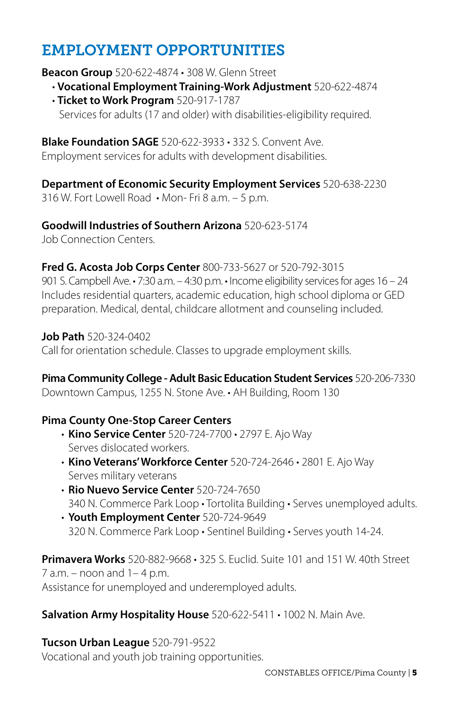## EMPLOYMENT OPPORTUNITIES

#### **Beacon Group** 520-622-4874 • 308 W. Glenn Street

- **Vocational Employment Training-Work Adjustment** 520-622-4874
- **Ticket to Work Program** 520-917-1787 Services for adults (17 and older) with disabilities-eligibility required.

#### **Blake Foundation SAGE** 520-622-3933 • 332 S. Convent Ave.

Employment services for adults with development disabilities.

#### **Department of Economic Security Employment Services** 520-638-2230

316 W. Fort Lowell Road • Mon- Fri 8 a.m. – 5 p.m.

**Goodwill Industries of Southern Arizona** 520-623-5174

Job Connection Centers.

#### **Fred G. Acosta Job Corps Center** 800-733-5627 or 520-792-3015

901 S. Campbell Ave. • 7:30 a.m. – 4:30 p.m. • Income eligibility services for ages 16 – 24 Includes residential quarters, academic education, high school diploma or GED preparation. Medical, dental, childcare allotment and counseling included.

#### **Job Path** 520-324-0402

Call for orientation schedule. Classes to upgrade employment skills.

#### **Pima Community College - Adult Basic Education Student Services** 520-206-7330

Downtown Campus, 1255 N. Stone Ave. • AH Building, Room 130

#### **Pima County One-Stop Career Centers**

- **Kino Service Center** 520-724-7700 2797 E. Ajo Way Serves dislocated workers.
- **Kino Veterans' Workforce Center** 520-724-2646 2801 E. Ajo Way Serves military veterans
- **Rio Nuevo Service Center** 520-724-7650 340 N. Commerce Park Loop • Tortolita Building • Serves unemployed adults.
- **Youth Employment Center** 520-724-9649 320 N. Commerce Park Loop • Sentinel Building • Serves youth 14-24.

**Primavera Works** 520-882-9668 • 325 S. Euclid. Suite 101 and 151 W. 40th Street 7 a.m. – noon and 1– 4 p.m. Assistance for unemployed and underemployed adults.

#### **Salvation Army Hospitality House** 520-622-5411 • 1002 N. Main Ave.

#### **Tucson Urban League** 520-791-9522

Vocational and youth job training opportunities.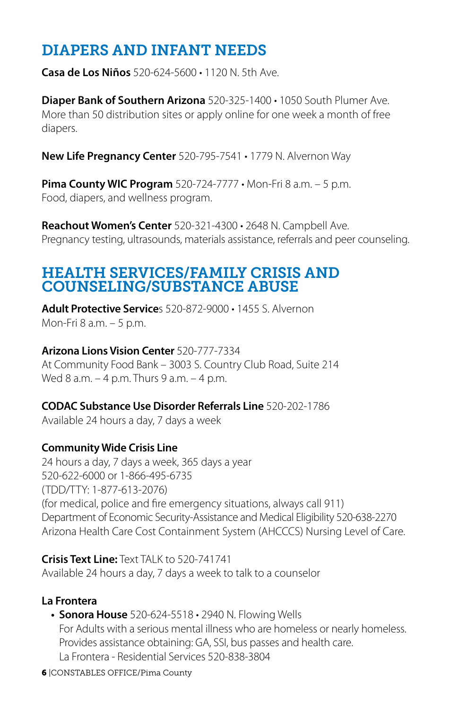## DIAPERS AND INFANT NEEDS

**Casa de Los Niños** 520-624-5600 • 1120 N. 5th Ave.

**Diaper Bank of Southern Arizona** 520-325-1400 • 1050 South Plumer Ave. More than 50 distribution sites or apply online for one week a month of free diapers.

**New Life Pregnancy Center** 520-795-7541 • 1779 N. Alvernon Way

**Pima County WIC Program** 520-724-7777 • Mon-Fri 8 a.m. – 5 p.m. Food, diapers, and wellness program.

**Reachout Women's Center** 520-321-4300 • 2648 N. Campbell Ave. Pregnancy testing, ultrasounds, materials assistance, referrals and peer counseling.

## HEALTH SERVICES/FAMILY CRISIS AND COUNSELING/SUBSTANCE ABUSE

**Adult Protective Service**s 520-872-9000 • 1455 S. Alvernon Mon-Fri 8 a.m. – 5 p.m.

#### **Arizona Lions Vision Center** 520-777-7334

At Community Food Bank – 3003 S. Country Club Road, Suite 214 Wed 8 a.m. - 4 p.m. Thurs 9 a.m. - 4 p.m.

#### **CODAC Substance Use Disorder Referrals Line** 520-202-1786

Available 24 hours a day, 7 days a week

#### **Community Wide Crisis Line**

24 hours a day, 7 days a week, 365 days a year 520-622-6000 or 1-866-495-6735 (TDD/TTY: 1-877-613-2076) (for medical, police and fire emergency situations, always call 911) Department of Economic Security-Assistance and Medical Eligibility 520-638-2270 Arizona Health Care Cost Containment System (AHCCCS) Nursing Level of Care.

**Crisis Text Line:** Text TALK to 520-741741 Available 24 hours a day, 7 days a week to talk to a counselor

#### **La Frontera**

- **• Sonora House** 520-624-5518 2940 N. Flowing Wells For Adults with a serious mental illness who are homeless or nearly homeless. Provides assistance obtaining: GA, SSI, bus passes and health care. La Frontera - Residential Services 520-838-3804
- 6 |CONSTABLES OFFICE/Pima County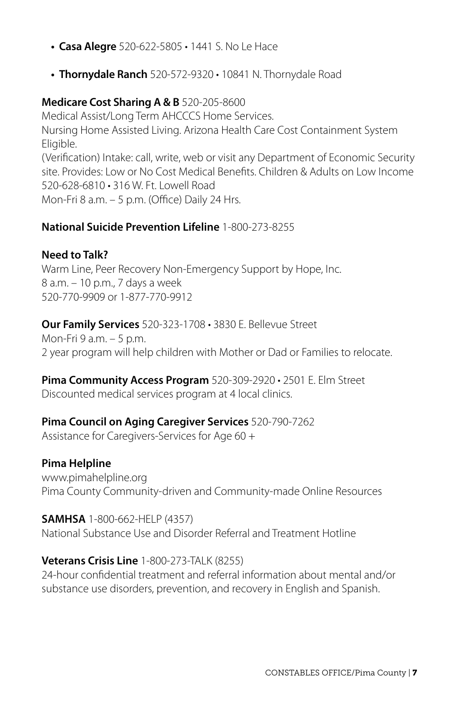- **• Casa Alegre** 520-622-5805 1441 S. No Le Hace
- **• Thornydale Ranch** 520-572-9320 10841 N. Thornydale Road

#### **Medicare Cost Sharing A & B** 520-205-8600

Medical Assist/Long Term AHCCCS Home Services. Nursing Home Assisted Living. Arizona Health Care Cost Containment System Eligible. (Verification) Intake: call, write, web or visit any Department of Economic Security site. Provides: Low or No Cost Medical Benefits. Children & Adults on Low Income 520-628-6810 • 316 W. Ft. Lowell Road Mon-Fri 8 a.m. – 5 p.m. (Office) Daily 24 Hrs.

#### **National Suicide Prevention Lifeline** 1-800-273-8255

#### **Need to Talk?**

Warm Line, Peer Recovery Non-Emergency Support by Hope, Inc. 8 a.m. – 10 p.m., 7 days a week 520-770-9909 or 1-877-770-9912

**Our Family Services** 520-323-1708 • 3830 E. Bellevue Street Mon-Fri 9 a.m. – 5 p.m. 2 year program will help children with Mother or Dad or Families to relocate.

**Pima Community Access Program** 520-309-2920 • 2501 E. Elm Street Discounted medical services program at 4 local clinics.

#### **Pima Council on Aging Caregiver Services** 520-790-7262

Assistance for Caregivers-Services for Age 60 +

#### **Pima Helpline**

www.pimahelpline.org Pima County Community-driven and Community-made Online Resources

#### **SAMHSA** 1-800-662-HELP (4357)

National Substance Use and Disorder Referral and Treatment Hotline

#### **Veterans Crisis Line** 1-800-273-TALK (8255)

24-hour confidential treatment and referral information about mental and/or substance use disorders, prevention, and recovery in English and Spanish.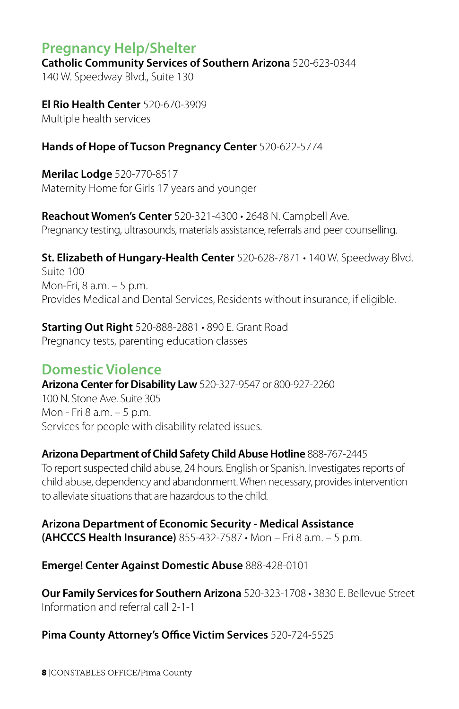## **Pregnancy Help/Shelter**

**Catholic Community Services of Southern Arizona** 520-623-0344

140 W. Speedway Blvd., Suite 130

**El Rio Health Center** 520-670-3909 Multiple health services

#### **Hands of Hope of Tucson Pregnancy Center** 520-622-5774

**Merilac Lodge** 520-770-8517 Maternity Home for Girls 17 years and younger

**Reachout Women's Center** 520-321-4300 • 2648 N. Campbell Ave. Pregnancy testing, ultrasounds, materials assistance, referrals and peer counselling.

**St. Elizabeth of Hungary-Health Center** 520-628-7871 • 140 W. Speedway Blvd. Suite 100 Mon-Fri, 8 a.m. – 5 p.m. Provides Medical and Dental Services, Residents without insurance, if eligible.

**Starting Out Right** 520-888-2881 • 890 E. Grant Road Pregnancy tests, parenting education classes

#### **Domestic Violence**

**Arizona Center for Disability Law** 520-327-9547 or 800-927-2260

100 N. Stone Ave. Suite 305 Mon - Fri 8 a.m. – 5 p.m. Services for people with disability related issues.

#### **Arizona Department of Child Safety Child Abuse Hotline** 888-767-2445

To report suspected child abuse, 24 hours. English or Spanish. Investigates reports of child abuse, dependency and abandonment. When necessary, provides intervention to alleviate situations that are hazardous to the child.

**Arizona Department of Economic Security - Medical Assistance (AHCCCS Health Insurance)** 855-432-7587 • Mon – Fri 8 a.m. – 5 p.m.

**Emerge! Center Against Domestic Abuse** 888-428-0101

**Our Family Services for Southern Arizona** 520-323-1708 • 3830 E. Bellevue Street Information and referral call 2-1-1

#### **Pima County Attorney's Office Victim Services** 520-724-5525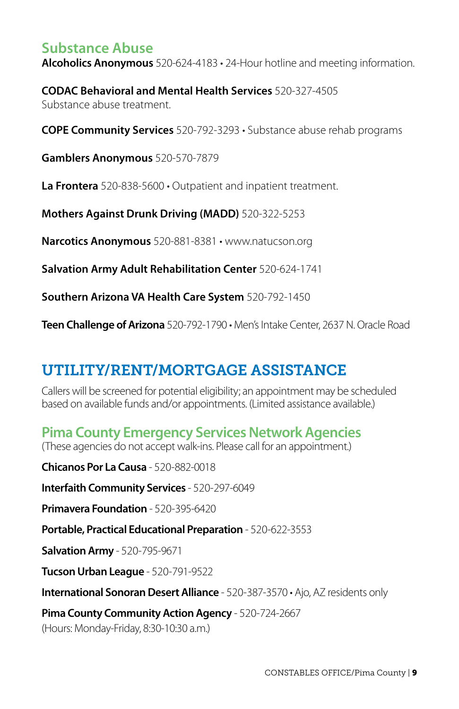## **Substance Abuse**

**Alcoholics Anonymous** 520-624-4183 • 24-Hour hotline and meeting information.

**CODAC Behavioral and Mental Health Services** 520-327-4505 Substance abuse treatment.

**COPE Community Services** 520-792-3293 • Substance abuse rehab programs

**Gamblers Anonymous** 520-570-7879

**La Frontera** 520-838-5600 • Outpatient and inpatient treatment.

**Mothers Against Drunk Driving (MADD)** 520-322-5253

**Narcotics Anonymous** 520-881-8381 • www.natucson.org

**Salvation Army Adult Rehabilitation Center** 520-624-1741

**Southern Arizona VA Health Care System** 520-792-1450

**Teen Challenge of Arizona** 520-792-1790 • Men's Intake Center, 2637 N. Oracle Road

## UTILITY/RENT/MORTGAGE ASSISTANCE

Callers will be screened for potential eligibility; an appointment may be scheduled based on available funds and/or appointments. (Limited assistance available.)

## **Pima County Emergency Services Network Agencies**

(These agencies do not accept walk-ins. Please call for an appointment.)

**Chicanos Por La Causa** - 520-882-0018

**Interfaith Community Services** - 520-297-6049

**Primavera Foundation** - 520-395-6420

**Portable, Practical Educational Preparation** - 520-622-3553

**Salvation Army** - 520-795-9671

**Tucson Urban League** - 520-791-9522

**International Sonoran Desert Alliance** - 520-387-3570 • Ajo, AZ residents only

**Pima County Community Action Agency** - 520-724-2667

(Hours: Monday-Friday, 8:30-10:30 a.m.)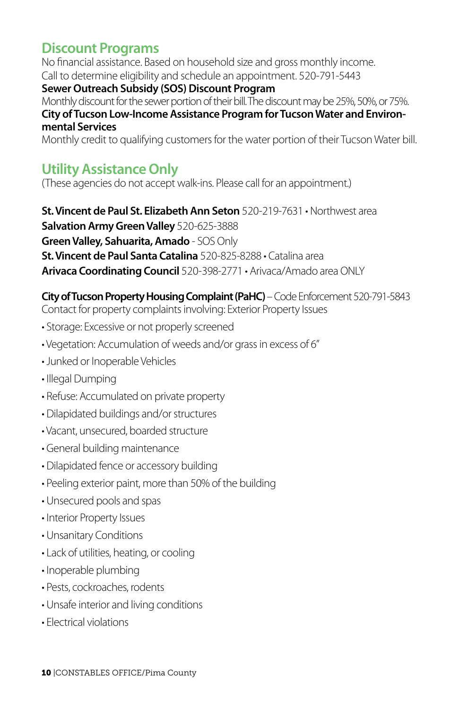## **Discount Programs**

No financial assistance. Based on household size and gross monthly income. Call to determine eligibility and schedule an appointment. 520-791-5443 **Sewer Outreach Subsidy (SOS) Discount Program** Monthly discount for the sewer portion of their bill. The discount may be 25%, 50%, or 75%. **City of Tucson Low-Income Assistance Program for Tucson Water and Environmental Services** Monthly credit to qualifying customers for the water portion of their Tucson Water bill.

## **Utility Assistance Only**

(These agencies do not accept walk-ins. Please call for an appointment.)

**St. Vincent de Paul St. Elizabeth Ann Seton** 520-219-7631 • Northwest area **Salvation Army Green Valley** 520-625-3888 **Green Valley, Sahuarita, Amado** - SOS Only **St. Vincent de Paul Santa Catalina** 520-825-8288 • Catalina area **Arivaca Coordinating Council** 520-398-2771 • Arivaca/Amado area ONLY

**City of Tucson Property Housing Complaint (PaHC)** – Code Enforcement 520-791-5843 Contact for property complaints involving: Exterior Property Issues

- Storage: Excessive or not properly screened
- Vegetation: Accumulation of weeds and/or grass in excess of 6"
- Junked or Inoperable Vehicles
- Illegal Dumping
- Refuse: Accumulated on private property
- Dilapidated buildings and/or structures
- Vacant, unsecured, boarded structure
- General building maintenance
- Dilapidated fence or accessory building
- Peeling exterior paint, more than 50% of the building
- Unsecured pools and spas
- Interior Property Issues
- Unsanitary Conditions
- Lack of utilities, heating, or cooling
- Inoperable plumbing
- Pests, cockroaches, rodents
- Unsafe interior and living conditions
- Electrical violations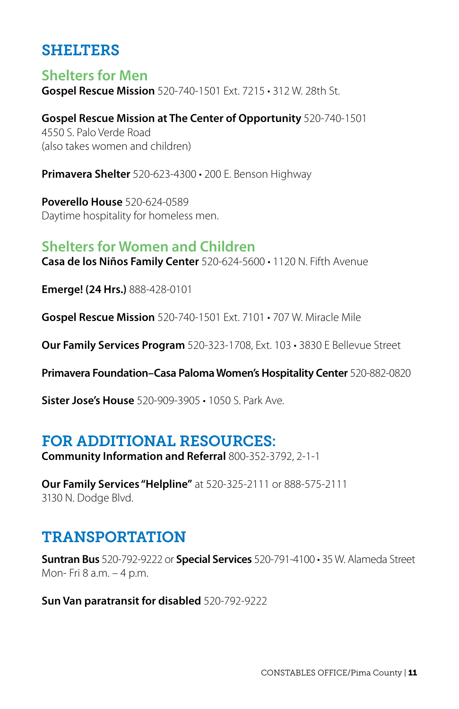## SHELTERS

**Shelters for Men Gospel Rescue Mission** 520-740-1501 Ext. 7215 • 312 W. 28th St.

**Gospel Rescue Mission at The Center of Opportunity** 520-740-1501 4550 S. Palo Verde Road (also takes women and children)

**Primavera Shelter** 520-623-4300 • 200 E. Benson Highway

**Poverello House** 520-624-0589 Daytime hospitality for homeless men.

#### **Shelters for Women and Children**

**Casa de los Niños Family Center** 520-624-5600 • 1120 N. Fifth Avenue

**Emerge! (24 Hrs.)** 888-428-0101

**Gospel Rescue Mission** 520-740-1501 Ext. 7101 • 707 W. Miracle Mile

**Our Family Services Program** 520-323-1708, Ext. 103 • 3830 E Bellevue Street

**Primavera Foundation–Casa Paloma Women's Hospitality Center** 520-882-0820

**Sister Jose's House** 520-909-3905 • 1050 S. Park Ave.

## FOR ADDITIONAL RESOURCES:

**Community Information and Referral** 800-352-3792, 2-1-1

**Our Family Services "Helpline"** at 520-325-2111 or 888-575-2111 3130 N. Dodge Blvd.

## TRANSPORTATION

**Suntran Bus** 520-792-9222 or **Special Services** 520-791-4100 • 35 W. Alameda Street Mon- Fri 8 a.m. – 4 p.m.

**Sun Van paratransit for disabled** 520-792-9222